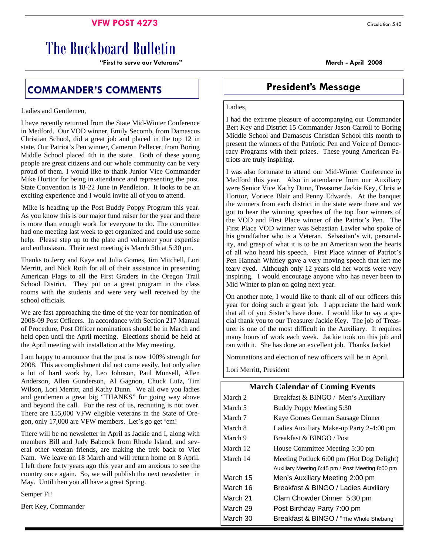### **VFW POST 4273** Circulation 540

# The Buckboard Bulletin

**"First to serve our Veterans" March - April 2008** 

# **COMMANDER'S COMMENTS**  President's Message

#### Ladies and Gentlemen,

I have recently returned from the State Mid-Winter Conference in Medford. Our VOD winner, Emily Secomb, from Damascus Christian School, did a great job and placed in the top 12 in state. Our Patriot's Pen winner, Cameron Pellecer, from Boring Middle School placed 4th in the state. Both of these young people are great citizens and our whole community can be very proud of them. I would like to thank Junior Vice Commander Mike Horttor for being in attendance and representing the post. State Convention is 18-22 June in Pendleton. It looks to be an exciting experience and I would invite all of you to attend.

 Mike is heading up the Post Buddy Poppy Program this year. As you know this is our major fund raiser for the year and there is more than enough work for everyone to do. The committee had one meeting last week to get organized and could use some help. Please step up to the plate and volunteer your expertise and enthusiasm. Their next meeting is March 5th at 5:30 pm.

Thanks to Jerry and Kaye and Julia Gomes, Jim Mitchell, Lori Merritt, and Nick Roth for all of their assistance in presenting American Flags to all the First Graders in the Oregon Trail School District. They put on a great program in the class rooms with the students and were very well received by the school officials.

We are fast approaching the time of the year for nomination of 2008-09 Post Officers. In accordance with Section 217 Manual of Procedure, Post Officer nominations should be in March and held open until the April meeting. Elections should be held at the April meeting with installation at the May meeting.

I am happy to announce that the post is now 100% strength for 2008. This accomplishment did not come easily, but only after a lot of hard work by, Leo Johnson, Paul Munsell, Allen Anderson, Allen Gunderson, Al Gagnon, Chuck Lutz, Tim Wilson, Lori Merritt, and Kathy Dunn. We all owe you ladies and gentlemen a great big "THANKS" for going way above and beyond the call. For the rest of us, recruiting is not over. There are 155,000 VFW eligible veterans in the State of Oregon, only 17,000 are VFW members. Let's go get 'em!

There will be no newsletter in April as Jackie and I, along with members Bill and Judy Babcock from Rhode Island, and several other veteran friends, are making the trek back to Viet Nam. We leave on 18 March and will return home on 8 April. I left there forty years ago this year and am anxious to see the country once again. So, we will publish the next newsletter in May. Until then you all have a great Spring.

Semper Fi!

Bert Key, Commander

#### Ladies,

I had the extreme pleasure of accompanying our Commander Bert Key and District 15 Commander Jason Carroll to Boring Middle School and Damascus Christian School this month to present the winners of the Patriotic Pen and Voice of Democracy Programs with their prizes. These young American Patriots are truly inspiring.

I was also fortunate to attend our Mid-Winter Conference in Medford this year. Also in attendance from our Auxiliary were Senior Vice Kathy Dunn, Treasurer Jackie Key, Christie Horttor, Voriece Blair and Penny Edwards. At the banquet the winners from each district in the state were there and we got to hear the winning speeches of the top four winners of the VOD and First Place winner of the Patriot's Pen. The First Place VOD winner was Sebastian Lawler who spoke of his grandfather who is a Veteran. Sebastian's wit, personality, and grasp of what it is to be an American won the hearts of all who heard his speech. First Place winner of Patriot's Pen Hannah Whitley gave a very moving speech that left me teary eyed. Although only 12 years old her words were very inspiring. I would encourage anyone who has never been to Mid Winter to plan on going next year.

On another note, I would like to thank all of our officers this year for doing such a great job. I appreciate the hard work that all of you Sister's have done. I would like to say a special thank you to our Treasurer Jackie Key. The job of Treasurer is one of the most difficult in the Auxiliary. It requires many hours of work each week. Jackie took on this job and ran with it. She has done an excellent job. Thanks Jackie!

Nominations and election of new officers will be in April.

Lori Merritt, President

### **March Calendar of Coming Events**

| March 2  | Breakfast & BINGO / Men's Auxiliary              |
|----------|--------------------------------------------------|
| March 5  | Buddy Poppy Meeting 5:30                         |
| March 7  | Kaye Gomes German Sausage Dinner                 |
| March 8  | Ladies Auxiliary Make-up Party 2-4:00 pm         |
| March 9  | Breakfast & BINGO / Post                         |
| March 12 | House Committee Meeting 5:30 pm                  |
| March 14 | Meeting Potluck 6:00 pm (Hot Dog Delight)        |
|          | Auxiliary Meeting 6:45 pm / Post Meeting 8:00 pm |
| March 15 | Men's Auxiliary Meeting 2:00 pm                  |
| March 16 | Breakfast & BINGO / Ladies Auxiliary             |
| March 21 | Clam Chowder Dinner 5:30 pm                      |
| March 29 | Post Birthday Party 7:00 pm                      |
| March 30 | Breakfast & BINGO / "The Whole Shebang"          |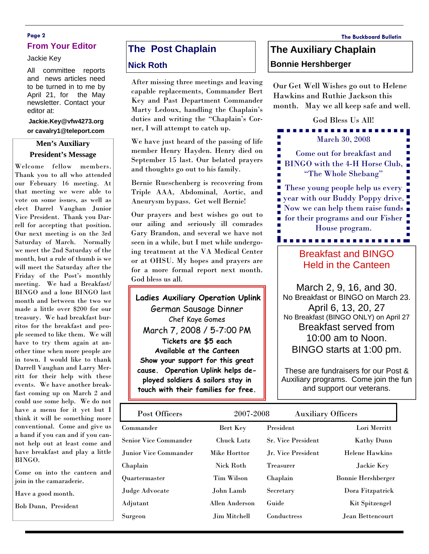### **Page 2 The Buckboard Bulletin From Your Editor**

#### Jackie Key

All committee reports and news articles need to be turned in to me by April 21, for the May newsletter. Contact your editor at:

#### **Jackie.Key@vfw4273.org or cavalry1@teleport.com**

#### **Men's Auxiliary President's Message**

Welcome fellow members. Thank you to all who attended our February 16 meeting. At that meeting we were able to vote on some issues, as well as elect Darrel Vaughan Junior Vice President. Thank you Darrell for accepting that position. Our next meeting is on the 3rd Saturday of March. Normally we meet the 2nd Saturday of the month, but a rule of thumb is we will meet the Saturday after the Friday of the Post's monthly meeting. We had a Breakfast/ BINGO and a lone BINGO last month and between the two we made a little over \$200 for our treasury. We had breakfast burritos for the breakfast and people seemed to like them. We will have to try them again at another time when more people are in town. I would like to thank Darrell Vaughan and Larry Merritt for their help with these events. We have another breakfast coming up on March 2 and could use some help. We do not have a menu for it yet but I think it will be something more conventional. Come and give us a hand if you can and if you cannot help out at least come and have breakfast and play a little BINGO.

Come on into the canteen and join in the camaraderie.

Have a good month.

Bob Dunn, President

### **The Post Chaplain**

#### **Nick Roth**

After missing three meetings and leaving capable replacements, Commander Bert Key and Past Department Commander Marty Ledoux, handling the Chaplain's duties and writing the "Chaplain's Corner, I will attempt to catch up.

We have just heard of the passing of life member Henry Hayden. Henry died on September 15 last. Our belated prayers and thoughts go out to his family.

Bernie Rueschenberg is recovering from Triple AAA, Abdominal, Aortic, and Aneurysm bypass. Get well Bernie!

Our prayers and best wishes go out to our ailing and seriously ill comrades Gary Brandon, and several we have not seen in a while, but I met while undergoing treatment at the VA Medical Center or at OHSU. My hopes and prayers are for a more formal report next month. God bless us all.

**Ladies Auxiliary Operation Uplink** German Sausage Dinner Chef Kaye Gomes March 7, 2008 / 5-7:00 PM **Tickets are \$5 each Available at the Canteen Show your support for this great cause. Operation Uplink helps deployed soldiers & sailors stay in touch with their families for free.** 

## **The Auxiliary Chaplain Bonnie Hershberger**

Our Get Well Wishes go out to Helene Hawkins and Ruthie Jackson this month. May we all keep safe and well.



### Breakfast and BINGO Held in the Canteen

March 2, 9, 16, and 30. No Breakfast or BINGO on March 23. April 6, 13, 20, 27 No Breakfast (BINGO ONLY) on April 27 Breakfast served from 10:00 am to Noon. BINGO starts at 1:00 pm.

These are fundraisers for our Post & Auxiliary programs. Come join the fun and support our veterans.

| Post Officers                | 2007-2008           | <b>Auxiliary Officers</b> |                           |
|------------------------------|---------------------|---------------------------|---------------------------|
| Commander                    | Bert Key            | President                 | Lori Merritt              |
| <b>Senior Vice Commander</b> | <b>Chuck Lutz</b>   | <b>Sr. Vice President</b> | <b>Kathy Dunn</b>         |
| Junior Vice Commander        | <b>Mike Horttor</b> | Jr. Vice President        | <b>Helene Hawkins</b>     |
| Chaplain                     | <b>Nick Roth</b>    | <b>Treasurer</b>          | Jackie Key                |
| Quartermaster                | Tim Wilson          | Chaplain                  | <b>Bonnie Hershberger</b> |
| Judge Advocate               | John Lamb           | Secretary                 | Dora Fitzpatrick          |
| Adjutant                     | Allen Anderson      | Guide                     | <b>Kit Spitzengel</b>     |
| Surgeon                      | Jim Mitchell        | <b>Conductress</b>        | Jean Bettencourt          |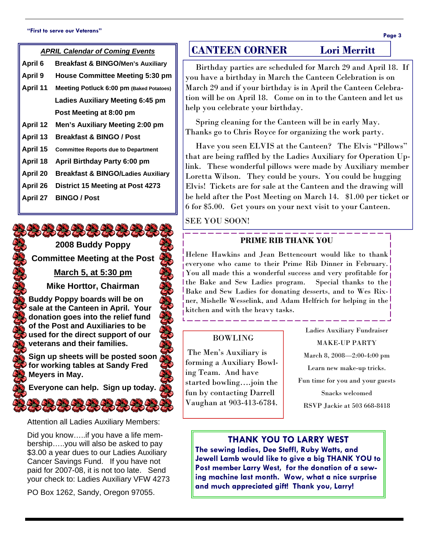#### **"First to serve our Veterans"**

| ×<br>۰, | ×<br>ł |
|---------|--------|
|---------|--------|

| .                                      |                                               |  |
|----------------------------------------|-----------------------------------------------|--|
| <b>APRIL Calendar of Coming Events</b> |                                               |  |
| April 6                                | <b>Breakfast &amp; BINGO/Men's Auxiliary</b>  |  |
| <b>April 9</b>                         | <b>House Committee Meeting 5:30 pm</b>        |  |
| April 11                               | Meeting Potluck 6:00 pm (Baked Potatoes)      |  |
|                                        | <b>Ladies Auxiliary Meeting 6:45 pm</b>       |  |
|                                        | Post Meeting at 8:00 pm                       |  |
| <b>April 12</b>                        | Men's Auxiliary Meeting 2:00 pm               |  |
| April 13                               | Breakfast & BINGO / Post                      |  |
| April 15                               | <b>Committee Reports due to Department</b>    |  |
| April 18                               | April Birthday Party 6:00 pm                  |  |
| April 20                               | <b>Breakfast &amp; BINGO/Ladies Auxiliary</b> |  |
| April 26                               | District 15 Meeting at Post 4273              |  |
| <b>April 27</b>                        | <b>BINGO / Post</b>                           |  |

# 2323232323

**2008 Buddy Poppy Committee Meeting at the Post** 

**March 5, at 5:30 pm**

**Mike Horttor, Chairman** 

**Buddy Poppy boards will be on sale at the Canteen in April. Your donation goes into the relief fund of the Post and Auxiliaries to be used for the direct support of our veterans and their families.** 

**Sign up sheets will be posted soon for working tables at Sandy Fred Meyers in May.** 

**Everyone can help. Sign up today.** 

Attention all Ladies Auxiliary Members:

Did you know…..if you have a life membership…..you will also be asked to pay \$3.00 a year dues to our Ladies Auxiliary Cancer Savings Fund. If you have not paid for 2007-08, it is not too late. Send your check to: Ladies Auxiliary VFW 4273

PO Box 1262, Sandy, Oregon 97055.

## **CANTEEN CORNER Lori Merritt**

 Birthday parties are scheduled for March 29 and April 18. If you have a birthday in March the Canteen Celebration is on March 29 and if your birthday is in April the Canteen Celebration will be on April 18. Come on in to the Canteen and let us help you celebrate your birthday.

 Spring cleaning for the Canteen will be in early May. Thanks go to Chris Royce for organizing the work party.

 Have you seen ELVIS at the Canteen? The Elvis "Pillows" that are being raffled by the Ladies Auxiliary for Operation Uplink. These wonderful pillows were made by Auxiliary member Loretta Wilson. They could be yours. You could be hugging Elvis! Tickets are for sale at the Canteen and the drawing will be held after the Post Meeting on March 14. \$1.00 per ticket or 6 for \$5.00. Get yours on your next visit to your Canteen.

SEE YOU SOON!

### **PRIME RIB THANK YOU**

<u> 2022 - 2023 - 2023 - 2023 - 20</u>

Helene Hawkins and Jean Bettencourt would like to thank everyone who came to their Prime Rib Dinner in February. You all made this a wonderful success and very profitable for the Bake and Sew Ladies program. Special thanks to the Bake and Sew Ladies for donating desserts, and to Wes Rixner, Mishelle Wesselink, and Adam Helfrich for helping in the kitchen and with the heavy tasks.

### BOWLING

 The Men's Auxiliary is forming a Auxiliary Bowling Team. And have started bowling….join the fun by contacting Darrell Vaughan at 903-413-6784.

Ladies Auxiliary Fundraiser MAKE-UP PARTY March 8, 2008—2:00-4:00 pm Learn new make-up tricks. Fun time for you and your guests Snacks welcomed RSVP Jackie at 503 668-8418

### **THANK YOU TO LARRY WEST**

**The sewing ladies, Dee Steffl, Ruby Watts, and Jewell Lamb would like to give a big THANK YOU to Post member Larry West, for the donation of a sewing machine last month. Wow, what a nice surprise and much appreciated gift! Thank you, Larry!**